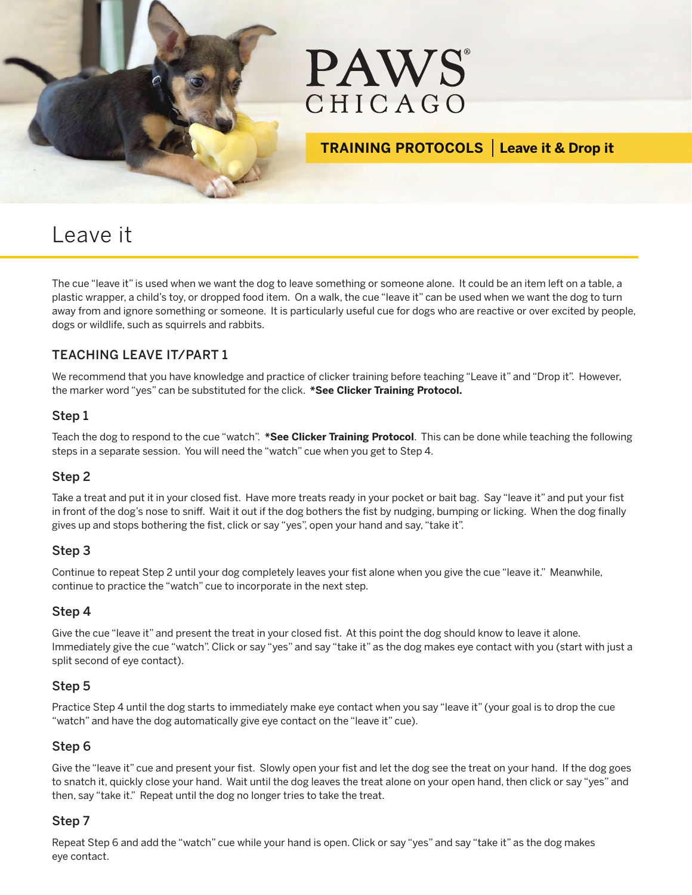



## **TRAINING PROTOCOLS Leave it & Drop it**

# Leave it

The cue "leave it" is used when we want the dog to leave something or someone alone. It could be an item left on a table, a plastic wrapper, a child's toy, or dropped food item. On a walk, the cue "leave it" can be used when we want the dog to turn away from and ignore something or someone. It is particularly useful cue for dogs who are reactive or over excited by people, dogs or wildlife, such as squirrels and rabbits.

#### TEACHING LEAVE IT/PART 1

We recommend that you have knowledge and practice of clicker training before teaching "Leave it" and "Drop it". However, the marker word "yes" can be substituted for the click. **\*See Clicker Training Protocol.**

#### Step 1

Teach the dog to respond to the cue "watch". **\*See Clicker Training Protocol**. This can be done while teaching the following steps in a separate session. You will need the "watch" cue when you get to Step 4.

#### Step 2

Take a treat and put it in your closed fist. Have more treats ready in your pocket or bait bag. Say "leave it" and put your fist in front of the dog's nose to sniff. Wait it out if the dog bothers the fist by nudging, bumping or licking. When the dog finally gives up and stops bothering the fist, click or say "yes", open your hand and say, "take it".

#### Step 3

Continue to repeat Step 2 until your dog completely leaves your fist alone when you give the cue "leave it." Meanwhile, continue to practice the "watch" cue to incorporate in the next step.

#### Step 4

Give the cue "leave it" and present the treat in your closed fist. At this point the dog should know to leave it alone. Immediately give the cue "watch". Click or say "yes" and say "take it" as the dog makes eye contact with you (start with just a split second of eye contact).

#### Step 5

Practice Step 4 until the dog starts to immediately make eye contact when you say "leave it" (your goal is to drop the cue "watch" and have the dog automatically give eye contact on the "leave it" cue).

#### Step 6

Give the "leave it" cue and present your fist. Slowly open your fist and let the dog see the treat on your hand. If the dog goes to snatch it, quickly close your hand. Wait until the dog leaves the treat alone on your open hand, then click or say "yes" and then, say "take it." Repeat until the dog no longer tries to take the treat.

#### Step 7

Repeat Step 6 and add the "watch" cue while your hand is open. Click or say "yes" and say "take it" as the dog makes eye contact.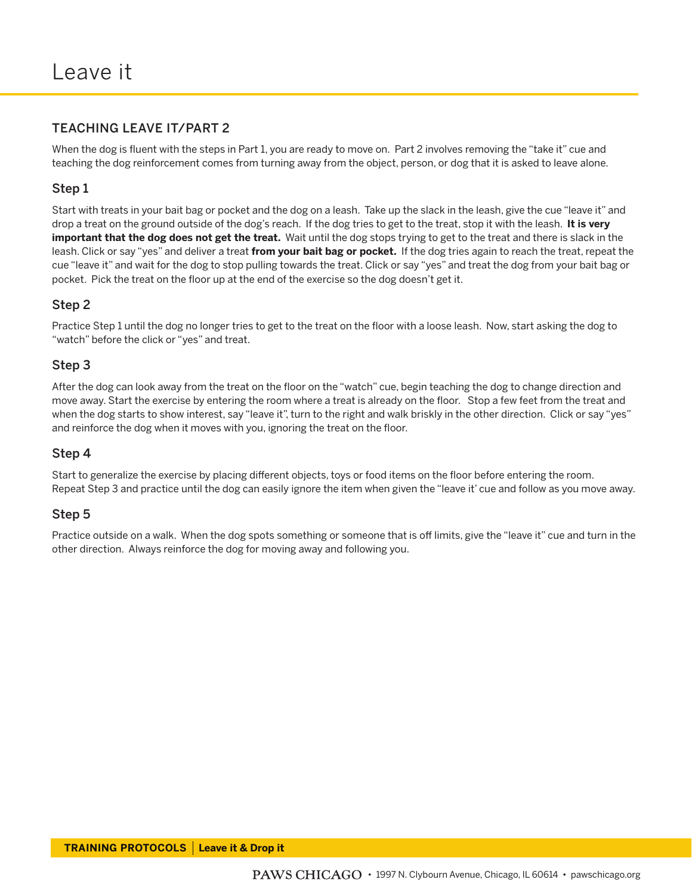#### TEACHING LEAVE IT/PART 2

When the dog is fluent with the steps in Part 1, you are ready to move on. Part 2 involves removing the "take it" cue and teaching the dog reinforcement comes from turning away from the object, person, or dog that it is asked to leave alone.

#### Step 1

Start with treats in your bait bag or pocket and the dog on a leash. Take up the slack in the leash, give the cue "leave it" and drop a treat on the ground outside of the dog's reach. If the dog tries to get to the treat, stop it with the leash. **It is very important that the dog does not get the treat.** Wait until the dog stops trying to get to the treat and there is slack in the leash. Click or say "yes" and deliver a treat **from your bait bag or pocket.** If the dog tries again to reach the treat, repeat the cue "leave it" and wait for the dog to stop pulling towards the treat. Click or say "yes" and treat the dog from your bait bag or pocket. Pick the treat on the floor up at the end of the exercise so the dog doesn't get it.

#### Step 2

Practice Step 1 until the dog no longer tries to get to the treat on the floor with a loose leash. Now, start asking the dog to "watch" before the click or "yes" and treat.

#### Step 3

After the dog can look away from the treat on the floor on the "watch" cue, begin teaching the dog to change direction and move away. Start the exercise by entering the room where a treat is already on the floor. Stop a few feet from the treat and when the dog starts to show interest, say "leave it", turn to the right and walk briskly in the other direction. Click or say "yes" and reinforce the dog when it moves with you, ignoring the treat on the floor.

#### Step 4

Start to generalize the exercise by placing different objects, toys or food items on the floor before entering the room. Repeat Step 3 and practice until the dog can easily ignore the item when given the "leave it' cue and follow as you move away.

#### Step 5

Practice outside on a walk. When the dog spots something or someone that is off limits, give the "leave it" cue and turn in the other direction. Always reinforce the dog for moving away and following you.